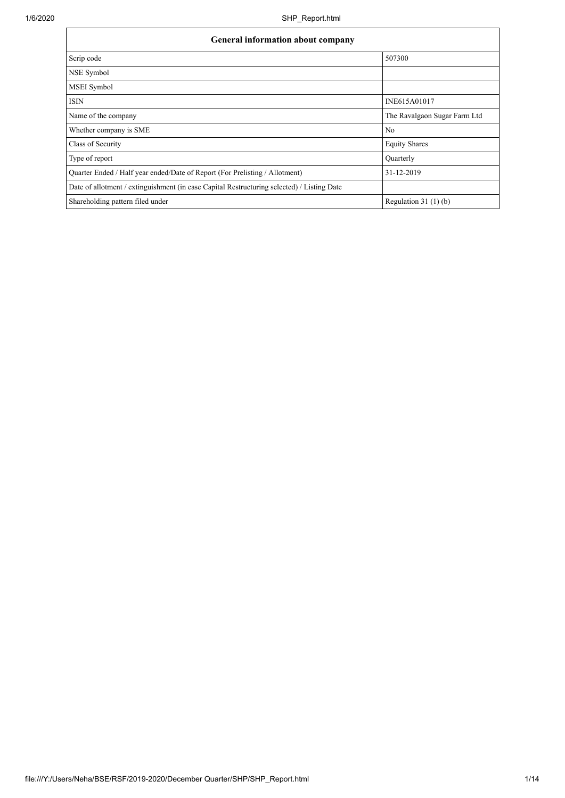| <b>General information about company</b>                                                   |                              |  |  |  |  |  |
|--------------------------------------------------------------------------------------------|------------------------------|--|--|--|--|--|
| Scrip code                                                                                 | 507300                       |  |  |  |  |  |
| NSE Symbol                                                                                 |                              |  |  |  |  |  |
| <b>MSEI</b> Symbol                                                                         |                              |  |  |  |  |  |
| <b>ISIN</b>                                                                                | INE615A01017                 |  |  |  |  |  |
| Name of the company                                                                        | The Ravalgaon Sugar Farm Ltd |  |  |  |  |  |
| Whether company is SME                                                                     | N <sub>0</sub>               |  |  |  |  |  |
| Class of Security                                                                          | <b>Equity Shares</b>         |  |  |  |  |  |
| Type of report                                                                             | <b>Ouarterly</b>             |  |  |  |  |  |
| Quarter Ended / Half year ended/Date of Report (For Prelisting / Allotment)                | 31-12-2019                   |  |  |  |  |  |
| Date of allotment / extinguishment (in case Capital Restructuring selected) / Listing Date |                              |  |  |  |  |  |
| Shareholding pattern filed under                                                           | Regulation $31(1)(b)$        |  |  |  |  |  |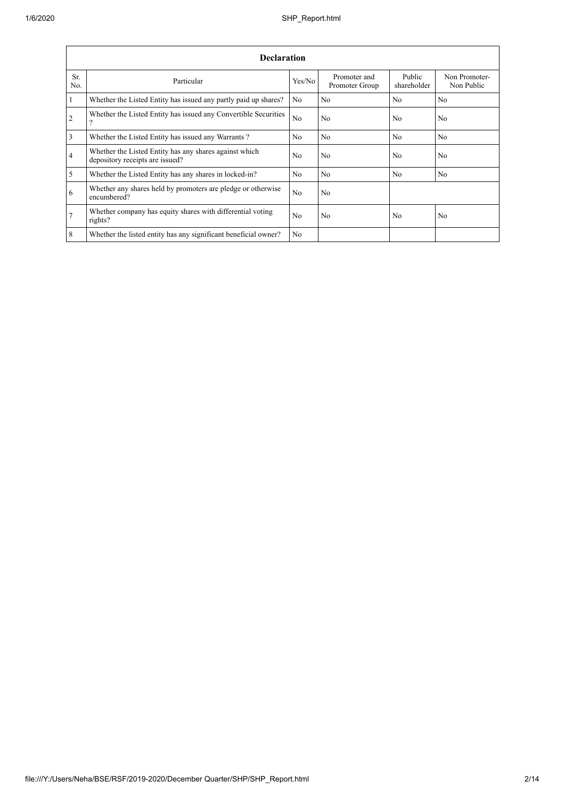| <b>Declaration</b> |                                                                                           |                |                                |                       |                             |  |  |  |
|--------------------|-------------------------------------------------------------------------------------------|----------------|--------------------------------|-----------------------|-----------------------------|--|--|--|
| Sr.<br>No.         | Particular                                                                                | Yes/No         | Promoter and<br>Promoter Group | Public<br>shareholder | Non Promoter-<br>Non Public |  |  |  |
| $\vert$ 1          | Whether the Listed Entity has issued any partly paid up shares?                           | N <sub>0</sub> | N <sub>0</sub>                 | No                    | N <sub>0</sub>              |  |  |  |
| $\overline{2}$     | Whether the Listed Entity has issued any Convertible Securities<br>$\gamma$               | N <sub>0</sub> | N <sub>0</sub>                 | N <sub>o</sub>        | N <sub>0</sub>              |  |  |  |
| $\overline{3}$     | Whether the Listed Entity has issued any Warrants?                                        | N <sub>0</sub> | N <sub>0</sub>                 | No                    | N <sub>0</sub>              |  |  |  |
| $\overline{4}$     | Whether the Listed Entity has any shares against which<br>depository receipts are issued? | No             | N <sub>0</sub>                 | N <sub>0</sub>        | N <sub>0</sub>              |  |  |  |
| $\overline{5}$     | Whether the Listed Entity has any shares in locked-in?                                    | N <sub>0</sub> | N <sub>0</sub>                 | N <sub>o</sub>        | N <sub>0</sub>              |  |  |  |
| 6                  | Whether any shares held by promoters are pledge or otherwise<br>encumbered?               | N <sub>0</sub> | N <sub>0</sub>                 |                       |                             |  |  |  |
| $\overline{7}$     | Whether company has equity shares with differential voting<br>rights?                     | No             | N <sub>0</sub>                 | N <sub>o</sub>        | N <sub>0</sub>              |  |  |  |
| $8\phantom{.}8$    | Whether the listed entity has any significant beneficial owner?                           | N <sub>0</sub> |                                |                       |                             |  |  |  |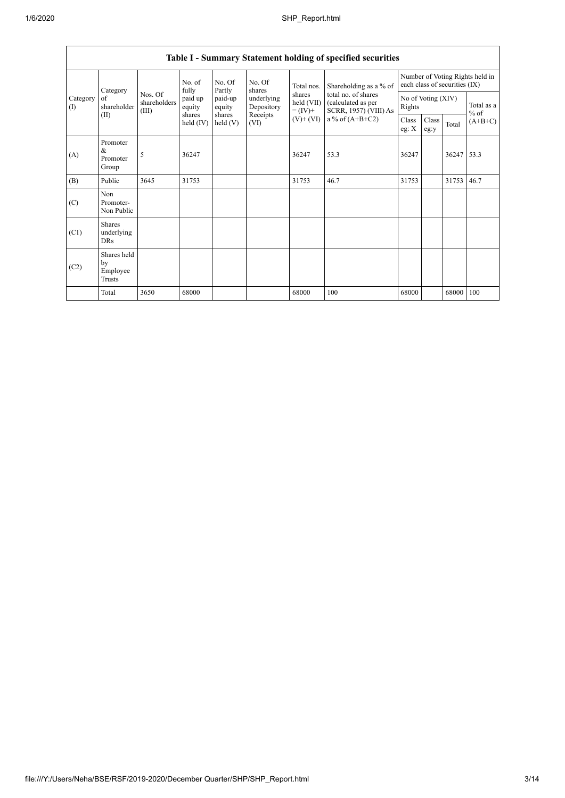| Table I - Summary Statement holding of specified securities |                                           |                                  |                       |                    |                          |                                                                   |                                                                    |                                                                  |               |       |                      |
|-------------------------------------------------------------|-------------------------------------------|----------------------------------|-----------------------|--------------------|--------------------------|-------------------------------------------------------------------|--------------------------------------------------------------------|------------------------------------------------------------------|---------------|-------|----------------------|
| Category<br>Category<br>of<br>(1)<br>(II)                   |                                           | fully                            | No. of                | No. Of<br>Partly   | No. Of<br>shares         | Total nos.<br>shares<br>held (VII)<br>$= (IV) +$<br>$(V)$ + $(V)$ | Shareholding as a % of                                             | Number of Voting Rights held in<br>each class of securities (IX) |               |       |                      |
|                                                             | shareholder                               | Nos. Of<br>shareholders<br>(III) | paid up<br>equity     | paid-up<br>equity  | underlying<br>Depository |                                                                   | total no. of shares<br>(calculated as per<br>SCRR, 1957) (VIII) As | No of Voting (XIV)<br>Rights                                     |               |       | Total as a<br>$%$ of |
|                                                             |                                           |                                  | shares<br>held $(IV)$ | shares<br>held (V) | Receipts<br>(VI)         |                                                                   | a % of $(A+B+C2)$                                                  | Class<br>eg: $\mathbf{X}$                                        | Class<br>eg:y | Total | $(A+B+C)$            |
| (A)                                                         | Promoter<br>&<br>Promoter<br>Group        | 5                                | 36247                 |                    |                          | 36247                                                             | 53.3                                                               | 36247                                                            |               | 36247 | 53.3                 |
| (B)                                                         | Public                                    | 3645                             | 31753                 |                    |                          | 31753                                                             | 46.7                                                               | 31753                                                            |               | 31753 | 46.7                 |
| (C)                                                         | Non<br>Promoter-<br>Non Public            |                                  |                       |                    |                          |                                                                   |                                                                    |                                                                  |               |       |                      |
| (C1)                                                        | <b>Shares</b><br>underlying<br><b>DRs</b> |                                  |                       |                    |                          |                                                                   |                                                                    |                                                                  |               |       |                      |
| (C2)                                                        | Shares held<br>by<br>Employee<br>Trusts   |                                  |                       |                    |                          |                                                                   |                                                                    |                                                                  |               |       |                      |
|                                                             | Total                                     | 3650                             | 68000                 |                    |                          | 68000                                                             | 100                                                                | 68000                                                            |               | 68000 | 100                  |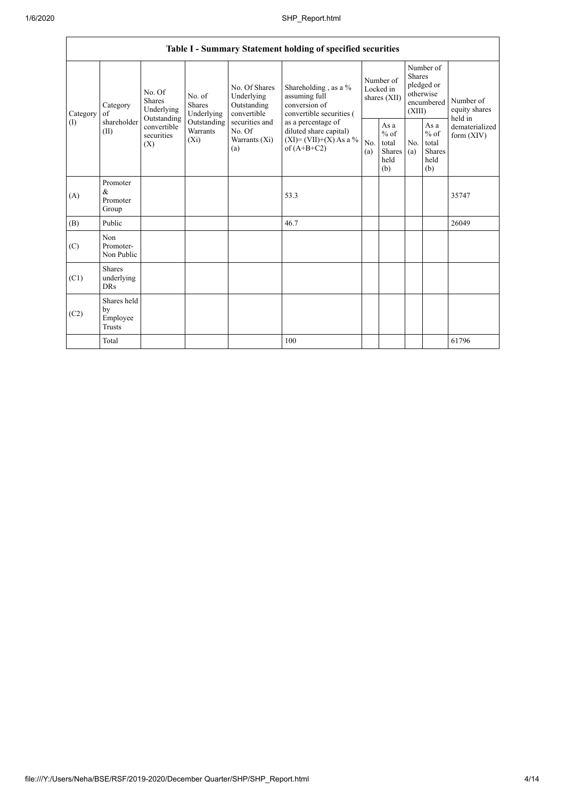| Table I - Summary Statement holding of specified securities |                                                |                                                                                                     |                                       |                                                           |                                                                                                                                                                                  |                                        |                                                          |                                                                        |                                                         |                                           |
|-------------------------------------------------------------|------------------------------------------------|-----------------------------------------------------------------------------------------------------|---------------------------------------|-----------------------------------------------------------|----------------------------------------------------------------------------------------------------------------------------------------------------------------------------------|----------------------------------------|----------------------------------------------------------|------------------------------------------------------------------------|---------------------------------------------------------|-------------------------------------------|
| Category<br>of<br>(1)<br>(II)                               | Category                                       | No. Of<br><b>Shares</b><br>Underlying<br>Outstanding<br>convertible<br>securities<br>$(X_i)$<br>(X) | No. of<br><b>Shares</b><br>Underlying | No. Of Shares<br>Underlying<br>Outstanding<br>convertible | Shareholding, as a %<br>assuming full<br>conversion of<br>convertible securities (<br>as a percentage of<br>diluted share capital)<br>$(XI) = (VII)+(X) As a %$<br>of $(A+B+C2)$ | Number of<br>Locked in<br>shares (XII) |                                                          | Number of<br>Shares<br>pledged or<br>otherwise<br>encumbered<br>(XIII) |                                                         | Number of<br>equity shares                |
|                                                             | shareholder                                    |                                                                                                     | Outstanding<br>Warrants               | securities and<br>No. Of<br>Warrants (Xi)<br>(a)          |                                                                                                                                                                                  | No.<br>(a)                             | As a<br>$\%$ of<br>total<br><b>Shares</b><br>held<br>(b) | No.<br>(a)                                                             | As a<br>$%$ of<br>total<br><b>Shares</b><br>held<br>(b) | held in<br>dematerialized<br>form $(XIV)$ |
| (A)                                                         | Promoter<br>$\&$<br>Promoter<br>Group          |                                                                                                     |                                       |                                                           | 53.3                                                                                                                                                                             |                                        |                                                          |                                                                        |                                                         | 35747                                     |
| (B)                                                         | Public                                         |                                                                                                     |                                       |                                                           | 46.7                                                                                                                                                                             |                                        |                                                          |                                                                        |                                                         | 26049                                     |
| (C)                                                         | Non<br>Promoter-<br>Non Public                 |                                                                                                     |                                       |                                                           |                                                                                                                                                                                  |                                        |                                                          |                                                                        |                                                         |                                           |
| (C1)                                                        | <b>Shares</b><br>underlying<br><b>DRs</b>      |                                                                                                     |                                       |                                                           |                                                                                                                                                                                  |                                        |                                                          |                                                                        |                                                         |                                           |
| (C2)                                                        | Shares held<br>by<br>Employee<br><b>Trusts</b> |                                                                                                     |                                       |                                                           |                                                                                                                                                                                  |                                        |                                                          |                                                                        |                                                         |                                           |
|                                                             | Total                                          |                                                                                                     |                                       |                                                           | 100                                                                                                                                                                              |                                        |                                                          |                                                                        |                                                         | 61796                                     |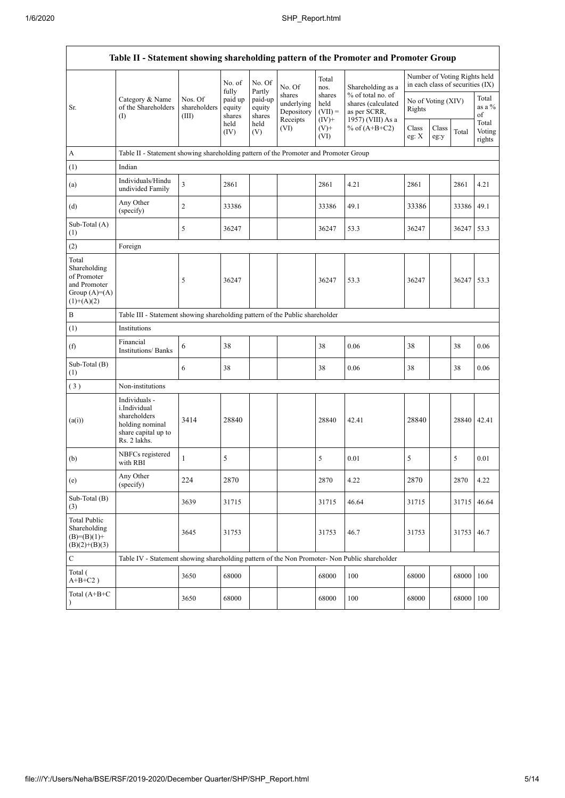$\overline{1}$ 

| Table II - Statement showing shareholding pattern of the Promoter and Promoter Group   |                                                                                                         |                                                                                      |                             |                             |                                                |                                         |                                                                              |                              |               |                                                                  |                           |
|----------------------------------------------------------------------------------------|---------------------------------------------------------------------------------------------------------|--------------------------------------------------------------------------------------|-----------------------------|-----------------------------|------------------------------------------------|-----------------------------------------|------------------------------------------------------------------------------|------------------------------|---------------|------------------------------------------------------------------|---------------------------|
|                                                                                        |                                                                                                         |                                                                                      | No. of<br>fully             | No. Of<br>Partly            | No. Of                                         | Total<br>nos.                           | Shareholding as a                                                            |                              |               | Number of Voting Rights held<br>in each class of securities (IX) |                           |
| Sr.                                                                                    | Category & Name<br>of the Shareholders<br>(                                                             | Nos. Of<br>shareholders<br>(III)                                                     | paid up<br>equity<br>shares | paid-up<br>equity<br>shares | shares<br>underlying<br>Depository<br>Receipts | shares<br>held<br>$(VII) =$<br>$(IV)$ + | % of total no. of<br>shares (calculated<br>as per SCRR,<br>1957) (VIII) As a | No of Voting (XIV)<br>Rights |               |                                                                  | Total<br>as a $%$<br>of   |
|                                                                                        |                                                                                                         |                                                                                      | held<br>(IV)                | held<br>(V)                 | (VI)                                           | $(V)^+$<br>(VI)                         | % of $(A+B+C2)$                                                              | Class<br>eg: X               | Class<br>eg:y | Total                                                            | Total<br>Voting<br>rights |
| $\boldsymbol{\rm{A}}$                                                                  |                                                                                                         | Table II - Statement showing shareholding pattern of the Promoter and Promoter Group |                             |                             |                                                |                                         |                                                                              |                              |               |                                                                  |                           |
| (1)                                                                                    | Indian                                                                                                  |                                                                                      |                             |                             |                                                |                                         |                                                                              |                              |               |                                                                  |                           |
| (a)                                                                                    | Individuals/Hindu<br>undivided Family                                                                   | 3                                                                                    | 2861                        |                             |                                                | 2861                                    | 4.21                                                                         | 2861                         |               | 2861                                                             | 4.21                      |
| (d)                                                                                    | Any Other<br>(specify)                                                                                  | 2                                                                                    | 33386                       |                             |                                                | 33386                                   | 49.1                                                                         | 33386                        |               | 33386                                                            | 49.1                      |
| Sub-Total (A)<br>(1)                                                                   |                                                                                                         | 5                                                                                    | 36247                       |                             |                                                | 36247                                   | 53.3                                                                         | 36247                        |               | 36247                                                            | 53.3                      |
| (2)                                                                                    | Foreign                                                                                                 |                                                                                      |                             |                             |                                                |                                         |                                                                              |                              |               |                                                                  |                           |
| Total<br>Shareholding<br>of Promoter<br>and Promoter<br>Group $(A)=A)$<br>$(1)+(A)(2)$ |                                                                                                         | 5                                                                                    | 36247                       |                             |                                                | 36247                                   | 53.3                                                                         | 36247                        |               | 36247 53.3                                                       |                           |
| $\, {\bf B}$                                                                           | Table III - Statement showing shareholding pattern of the Public shareholder                            |                                                                                      |                             |                             |                                                |                                         |                                                                              |                              |               |                                                                  |                           |
| (1)                                                                                    | Institutions                                                                                            |                                                                                      |                             |                             |                                                |                                         |                                                                              |                              |               |                                                                  |                           |
| (f)                                                                                    | Financial<br><b>Institutions/Banks</b>                                                                  | 6                                                                                    | 38                          |                             |                                                | 38                                      | 0.06                                                                         | 38                           |               | 38                                                               | 0.06                      |
| Sub-Total (B)<br>(1)                                                                   |                                                                                                         | 6                                                                                    | 38                          |                             |                                                | 38                                      | 0.06                                                                         | 38                           |               | 38                                                               | 0.06                      |
| (3)                                                                                    | Non-institutions                                                                                        |                                                                                      |                             |                             |                                                |                                         |                                                                              |                              |               |                                                                  |                           |
| (a(i))                                                                                 | Individuals -<br>i.Individual<br>shareholders<br>holding nominal<br>share capital up to<br>Rs. 2 lakhs. | 3414                                                                                 | 28840                       |                             |                                                | 28840                                   | 42.41                                                                        | 28840                        |               | 28840                                                            | 42.41                     |
| (b)                                                                                    | NBFCs registered<br>with RBI                                                                            | $\mathbf{1}$                                                                         | 5                           |                             |                                                | 5                                       | 0.01                                                                         | 5                            |               | 5                                                                | 0.01                      |
| (e)                                                                                    | Any Other<br>(specify)                                                                                  | 224                                                                                  | 2870                        |                             |                                                | 2870                                    | 4.22                                                                         | 2870                         |               | 2870                                                             | 4.22                      |
| Sub-Total (B)<br>(3)                                                                   |                                                                                                         | 3639                                                                                 | 31715                       |                             |                                                | 31715                                   | 46.64                                                                        | 31715                        |               | 31715 46.64                                                      |                           |
| <b>Total Public</b><br>Shareholding<br>$(B)= (B)(1) +$<br>$(B)(2)+(B)(3)$              |                                                                                                         | 3645                                                                                 | 31753                       |                             |                                                | 31753                                   | 46.7                                                                         | 31753                        |               | 31753                                                            | 46.7                      |
| $\mathbf C$                                                                            | Table IV - Statement showing shareholding pattern of the Non Promoter- Non Public shareholder           |                                                                                      |                             |                             |                                                |                                         |                                                                              |                              |               |                                                                  |                           |
| Total (<br>$\mathrm{A} \text{+} \mathrm{B} \text{+} \mathrm{C2}$ )                     |                                                                                                         | 3650                                                                                 | 68000                       |                             |                                                | 68000                                   | 100                                                                          | 68000                        |               | 68000                                                            | 100                       |
| Total (A+B+C                                                                           |                                                                                                         | 3650                                                                                 | 68000                       |                             |                                                | 68000                                   | 100                                                                          | 68000                        |               | 68000                                                            | 100                       |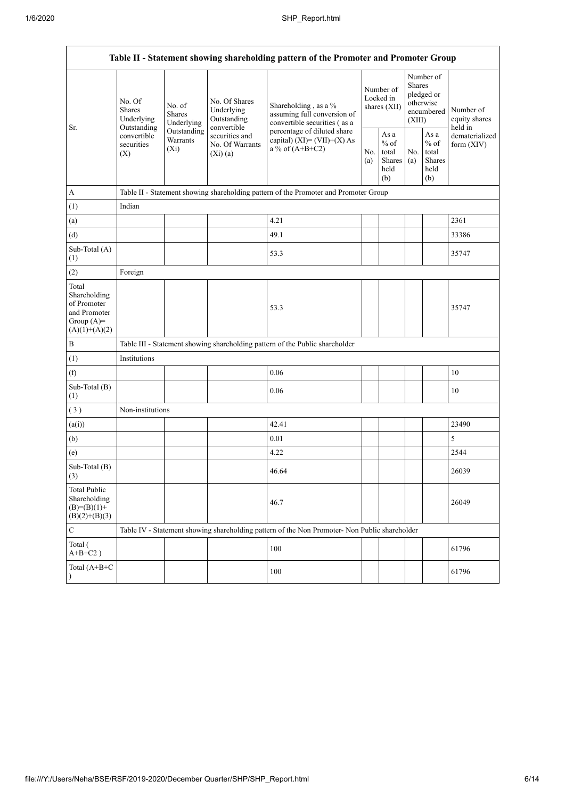| Table II - Statement showing shareholding pattern of the Promoter and Promoter Group    |                                                                                                                                            |             |                                                           |                                                                                               |                                        |                                                  |                                                                               |                                                  |                                       |
|-----------------------------------------------------------------------------------------|--------------------------------------------------------------------------------------------------------------------------------------------|-------------|-----------------------------------------------------------|-----------------------------------------------------------------------------------------------|----------------------------------------|--------------------------------------------------|-------------------------------------------------------------------------------|--------------------------------------------------|---------------------------------------|
| Sr.                                                                                     | No. Of<br>No. of<br><b>Shares</b><br><b>Shares</b><br>Underlying<br>Outstanding<br>convertible<br>Warrants<br>securities<br>$(X_i)$<br>(X) | Underlying  | No. Of Shares<br>Underlying<br>Outstanding<br>convertible | Shareholding, as a %<br>assuming full conversion of<br>convertible securities (as a           | Number of<br>Locked in<br>shares (XII) |                                                  | Number of<br><b>Shares</b><br>pledged or<br>otherwise<br>encumbered<br>(XIII) |                                                  | Number of<br>equity shares<br>held in |
|                                                                                         |                                                                                                                                            | Outstanding | securities and<br>No. Of Warrants<br>(Xi)(a)              | percentage of diluted share<br>capital) $(XI) = (VII)+(X) As$<br>a % of $(A+B+C2)$            | No.<br>(a)                             | As a<br>$%$ of<br>total<br>Shares<br>held<br>(b) | No.<br>(a)                                                                    | As a<br>$%$ of<br>total<br>Shares<br>held<br>(b) | dematerialized<br>form $(XIV)$        |
| $\mathbf{A}$                                                                            |                                                                                                                                            |             |                                                           | Table II - Statement showing shareholding pattern of the Promoter and Promoter Group          |                                        |                                                  |                                                                               |                                                  |                                       |
| (1)                                                                                     | Indian                                                                                                                                     |             |                                                           |                                                                                               |                                        |                                                  |                                                                               |                                                  |                                       |
| (a)                                                                                     |                                                                                                                                            |             |                                                           | 4.21                                                                                          |                                        |                                                  |                                                                               |                                                  | 2361                                  |
| (d)                                                                                     |                                                                                                                                            |             |                                                           | 49.1                                                                                          |                                        |                                                  |                                                                               |                                                  | 33386                                 |
| Sub-Total (A)<br>(1)                                                                    |                                                                                                                                            |             |                                                           | 53.3                                                                                          |                                        |                                                  |                                                                               |                                                  | 35747                                 |
| (2)                                                                                     | Foreign                                                                                                                                    |             |                                                           |                                                                                               |                                        |                                                  |                                                                               |                                                  |                                       |
| Total<br>Shareholding<br>of Promoter<br>and Promoter<br>Group $(A)=$<br>$(A)(1)+(A)(2)$ |                                                                                                                                            |             |                                                           | 53.3                                                                                          |                                        |                                                  |                                                                               |                                                  | 35747                                 |
| $\, {\bf B}$                                                                            |                                                                                                                                            |             |                                                           | Table III - Statement showing shareholding pattern of the Public shareholder                  |                                        |                                                  |                                                                               |                                                  |                                       |
| (1)                                                                                     | Institutions                                                                                                                               |             |                                                           |                                                                                               |                                        |                                                  |                                                                               |                                                  |                                       |
| (f)                                                                                     |                                                                                                                                            |             |                                                           | 0.06                                                                                          |                                        |                                                  |                                                                               |                                                  | 10                                    |
| Sub-Total (B)<br>(1)                                                                    |                                                                                                                                            |             |                                                           | 0.06                                                                                          |                                        |                                                  |                                                                               |                                                  | 10                                    |
| (3)                                                                                     | Non-institutions                                                                                                                           |             |                                                           |                                                                                               |                                        |                                                  |                                                                               |                                                  |                                       |
| (a(i))                                                                                  |                                                                                                                                            |             |                                                           | 42.41                                                                                         |                                        |                                                  |                                                                               |                                                  | 23490                                 |
| (b)                                                                                     |                                                                                                                                            |             |                                                           | 0.01                                                                                          |                                        |                                                  |                                                                               |                                                  | 5                                     |
| (e)                                                                                     |                                                                                                                                            |             |                                                           | 4.22                                                                                          |                                        |                                                  |                                                                               |                                                  | 2544                                  |
| Sub-Total (B)<br>(3)                                                                    |                                                                                                                                            |             |                                                           | 46.64                                                                                         |                                        |                                                  |                                                                               |                                                  | 26039                                 |
| <b>Total Public</b><br>Shareholding<br>$(B)= (B)(1) +$<br>$(B)(2)+(B)(3)$               |                                                                                                                                            |             |                                                           | 46.7                                                                                          |                                        |                                                  |                                                                               |                                                  | 26049                                 |
| $\mathbf C$                                                                             |                                                                                                                                            |             |                                                           | Table IV - Statement showing shareholding pattern of the Non Promoter- Non Public shareholder |                                        |                                                  |                                                                               |                                                  |                                       |
| Total (<br>$A+B+C2$ )                                                                   |                                                                                                                                            |             |                                                           | 100                                                                                           |                                        |                                                  |                                                                               |                                                  | 61796                                 |
| Total (A+B+C                                                                            |                                                                                                                                            |             |                                                           | 100                                                                                           |                                        |                                                  |                                                                               |                                                  | 61796                                 |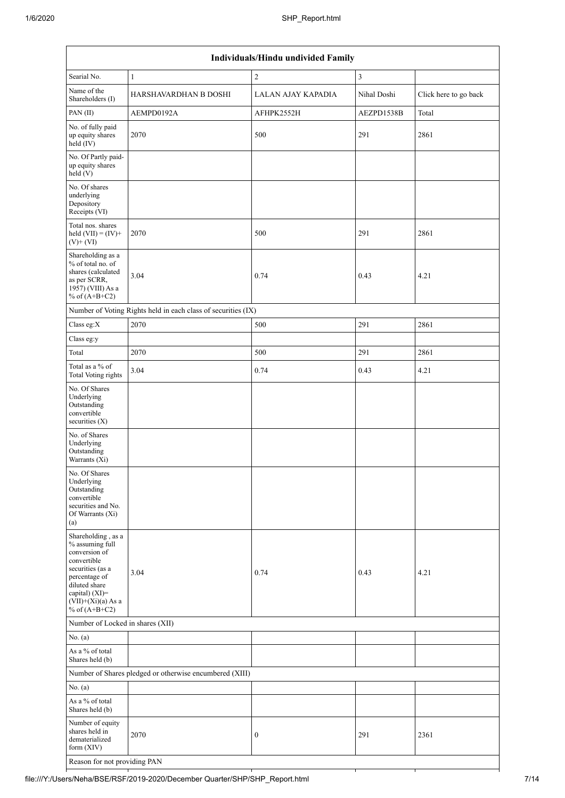| Individuals/Hindu undivided Family                                                                                                                                                       |                                                               |                    |                         |                       |  |  |  |  |
|------------------------------------------------------------------------------------------------------------------------------------------------------------------------------------------|---------------------------------------------------------------|--------------------|-------------------------|-----------------------|--|--|--|--|
| Searial No.                                                                                                                                                                              | $\mathbf{1}$                                                  | $\overline{c}$     | $\overline{\mathbf{3}}$ |                       |  |  |  |  |
| Name of the<br>Shareholders (I)                                                                                                                                                          | HARSHAVARDHAN B DOSHI                                         | LALAN AJAY KAPADIA | Nihal Doshi             | Click here to go back |  |  |  |  |
| PAN (II)                                                                                                                                                                                 | AEMPD0192A                                                    | AFHPK2552H         | AEZPD1538B              | Total                 |  |  |  |  |
| No. of fully paid<br>up equity shares<br>held (IV)                                                                                                                                       | 2070                                                          | 500                | 291                     | 2861                  |  |  |  |  |
| No. Of Partly paid-<br>up equity shares<br>held (V)                                                                                                                                      |                                                               |                    |                         |                       |  |  |  |  |
| No. Of shares<br>underlying<br>Depository<br>Receipts (VI)                                                                                                                               |                                                               |                    |                         |                       |  |  |  |  |
| Total nos. shares<br>held $(VII) = (IV) +$<br>$(V)$ + $(VI)$                                                                                                                             | 2070                                                          | 500                | 291                     | 2861                  |  |  |  |  |
| Shareholding as a<br>% of total no. of<br>shares (calculated<br>as per SCRR,<br>1957) (VIII) As a<br>% of $(A+B+C2)$                                                                     | 3.04                                                          | 0.74               | 0.43                    | 4.21                  |  |  |  |  |
|                                                                                                                                                                                          | Number of Voting Rights held in each class of securities (IX) |                    |                         |                       |  |  |  |  |
| Class eg:X                                                                                                                                                                               | 2070                                                          | 500                | 291                     | 2861                  |  |  |  |  |
| Class eg:y                                                                                                                                                                               |                                                               |                    |                         |                       |  |  |  |  |
| Total                                                                                                                                                                                    | 2070                                                          | 500                | 291                     | 2861                  |  |  |  |  |
| Total as a % of<br><b>Total Voting rights</b>                                                                                                                                            | 3.04                                                          | 0.74               | 0.43                    | 4.21                  |  |  |  |  |
| No. Of Shares<br>Underlying<br>Outstanding<br>convertible<br>securities $(X)$                                                                                                            |                                                               |                    |                         |                       |  |  |  |  |
| No. of Shares<br>Underlying<br>Outstanding<br>Warrants (Xi)                                                                                                                              |                                                               |                    |                         |                       |  |  |  |  |
| No. Of Shares<br>Underlying<br>Outstanding<br>convertible<br>securities and No.<br>Of Warrants (Xi)<br>(a)                                                                               |                                                               |                    |                         |                       |  |  |  |  |
| Shareholding, as a<br>% assuming full<br>conversion of<br>convertible<br>securities (as a<br>percentage of<br>diluted share<br>capital) (XI)=<br>$(VII)+(Xi)(a)$ As a<br>% of $(A+B+C2)$ | 3.04                                                          | 0.74               | 0.43                    | 4.21                  |  |  |  |  |
| Number of Locked in shares (XII)                                                                                                                                                         |                                                               |                    |                         |                       |  |  |  |  |
| No. (a)                                                                                                                                                                                  |                                                               |                    |                         |                       |  |  |  |  |
| As a % of total<br>Shares held (b)                                                                                                                                                       |                                                               |                    |                         |                       |  |  |  |  |
|                                                                                                                                                                                          | Number of Shares pledged or otherwise encumbered (XIII)       |                    |                         |                       |  |  |  |  |
| No. (a)                                                                                                                                                                                  |                                                               |                    |                         |                       |  |  |  |  |
| As a % of total<br>Shares held (b)                                                                                                                                                       |                                                               |                    |                         |                       |  |  |  |  |
| Number of equity<br>shares held in<br>dematerialized<br>form $(XIV)$                                                                                                                     | 2070                                                          | $\boldsymbol{0}$   | 291                     | 2361                  |  |  |  |  |
| Reason for not providing PAN                                                                                                                                                             |                                                               |                    |                         |                       |  |  |  |  |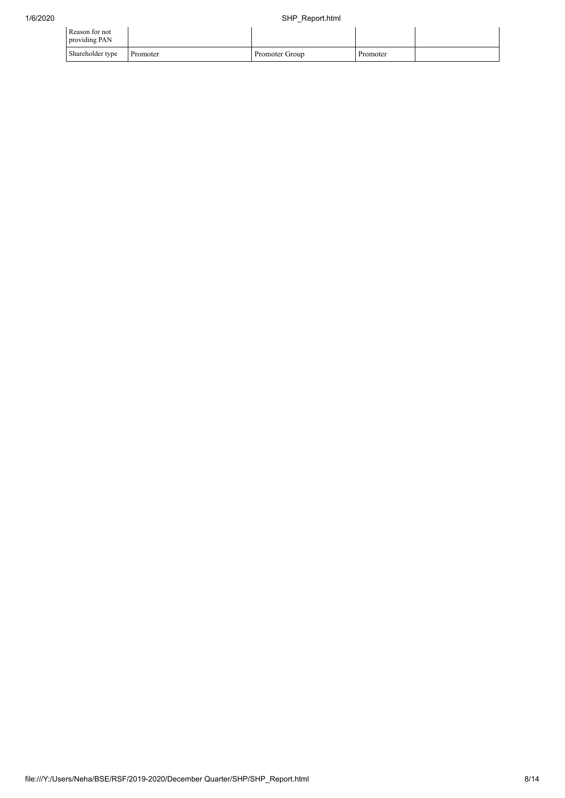| Reason for not<br>providing PAN |          |                |          |  |
|---------------------------------|----------|----------------|----------|--|
| Shareholder type                | Promoter | Promoter Group | Promoter |  |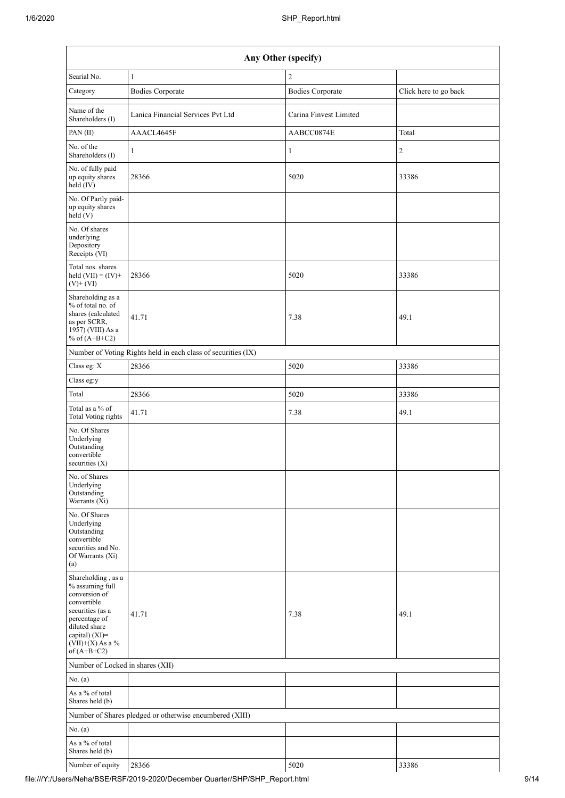| Any Other (specify)                                                                                                                                                                     |                                                               |                         |                       |  |  |  |  |  |  |
|-----------------------------------------------------------------------------------------------------------------------------------------------------------------------------------------|---------------------------------------------------------------|-------------------------|-----------------------|--|--|--|--|--|--|
| Searial No.                                                                                                                                                                             | $\mathbf{1}$                                                  | $\overline{2}$          |                       |  |  |  |  |  |  |
| Category                                                                                                                                                                                | <b>Bodies Corporate</b>                                       | <b>Bodies Corporate</b> | Click here to go back |  |  |  |  |  |  |
| Name of the<br>Shareholders (I)                                                                                                                                                         | Lanica Financial Services Pvt Ltd                             | Carina Finvest Limited  |                       |  |  |  |  |  |  |
| PAN(II)                                                                                                                                                                                 | AAACL4645F                                                    | AABCC0874E              | Total                 |  |  |  |  |  |  |
| No. of the<br>Shareholders (I)                                                                                                                                                          | 1                                                             | $\mathbf{1}$            | $\sqrt{2}$            |  |  |  |  |  |  |
| No. of fully paid<br>up equity shares<br>held (IV)                                                                                                                                      | 28366                                                         | 5020                    | 33386                 |  |  |  |  |  |  |
| No. Of Partly paid-<br>up equity shares<br>held(V)                                                                                                                                      |                                                               |                         |                       |  |  |  |  |  |  |
| No. Of shares<br>underlying<br>Depository<br>Receipts (VI)                                                                                                                              |                                                               |                         |                       |  |  |  |  |  |  |
| Total nos. shares<br>held $(VII) = (IV) +$<br>$(V)+(VI)$                                                                                                                                | 28366                                                         | 5020                    | 33386                 |  |  |  |  |  |  |
| Shareholding as a<br>% of total no. of<br>shares (calculated<br>as per SCRR,<br>1957) (VIII) As a<br>% of $(A+B+C2)$                                                                    | 41.71                                                         | 7.38                    | 49.1                  |  |  |  |  |  |  |
|                                                                                                                                                                                         | Number of Voting Rights held in each class of securities (IX) |                         |                       |  |  |  |  |  |  |
| Class eg: X                                                                                                                                                                             | 28366                                                         | 5020                    | 33386                 |  |  |  |  |  |  |
| Class eg:y                                                                                                                                                                              |                                                               |                         |                       |  |  |  |  |  |  |
| Total                                                                                                                                                                                   | 28366                                                         | 5020                    | 33386                 |  |  |  |  |  |  |
| Total as a % of<br><b>Total Voting rights</b>                                                                                                                                           | 41.71                                                         | 7.38                    | 49.1                  |  |  |  |  |  |  |
| No. Of Shares<br>Underlying<br>Outstanding<br>convertible<br>securities $(X)$                                                                                                           |                                                               |                         |                       |  |  |  |  |  |  |
| No. of Shares<br>Underlying<br>Outstanding<br>Warrants (Xi)                                                                                                                             |                                                               |                         |                       |  |  |  |  |  |  |
| No. Of Shares<br>Underlying<br>Outstanding<br>convertible<br>securities and No.<br>Of Warrants (Xi)<br>(a)                                                                              |                                                               |                         |                       |  |  |  |  |  |  |
| Shareholding, as a<br>% assuming full<br>conversion of<br>convertible<br>securities (as a<br>percentage of<br>diluted share<br>capital) $(XI)$ =<br>$(VII)+(X)$ As a %<br>of $(A+B+C2)$ | 41.71                                                         | 7.38                    | 49.1                  |  |  |  |  |  |  |
| Number of Locked in shares (XII)                                                                                                                                                        |                                                               |                         |                       |  |  |  |  |  |  |
| No. (a)                                                                                                                                                                                 |                                                               |                         |                       |  |  |  |  |  |  |
| As a % of total<br>Shares held (b)                                                                                                                                                      |                                                               |                         |                       |  |  |  |  |  |  |
|                                                                                                                                                                                         | Number of Shares pledged or otherwise encumbered (XIII)       |                         |                       |  |  |  |  |  |  |
| No. (a)                                                                                                                                                                                 |                                                               |                         |                       |  |  |  |  |  |  |
| As a % of total<br>Shares held (b)                                                                                                                                                      |                                                               |                         |                       |  |  |  |  |  |  |
| Number of equity                                                                                                                                                                        | 28366                                                         | 5020                    | 33386                 |  |  |  |  |  |  |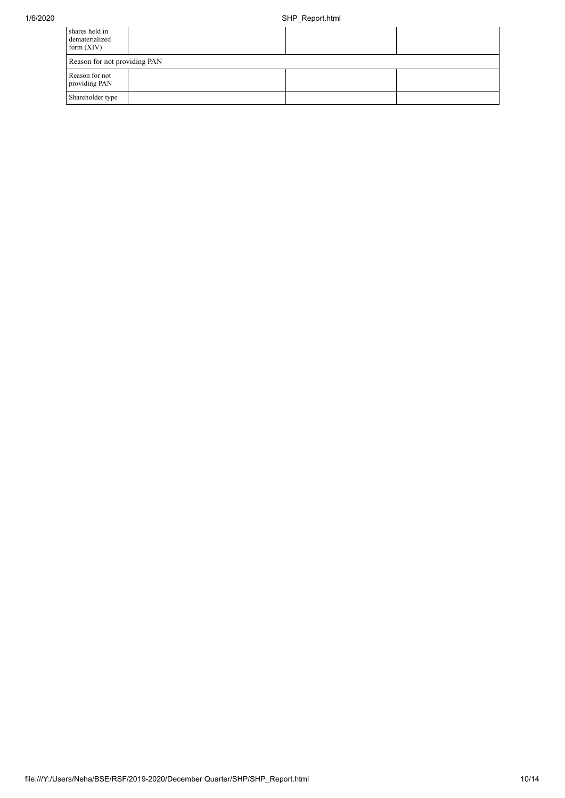| shares held in<br>dematerialized<br>form $(XIV)$ |  |  |  |  |  |  |  |
|--------------------------------------------------|--|--|--|--|--|--|--|
| Reason for not providing PAN                     |  |  |  |  |  |  |  |
| Reason for not<br>providing PAN                  |  |  |  |  |  |  |  |
| Shareholder type                                 |  |  |  |  |  |  |  |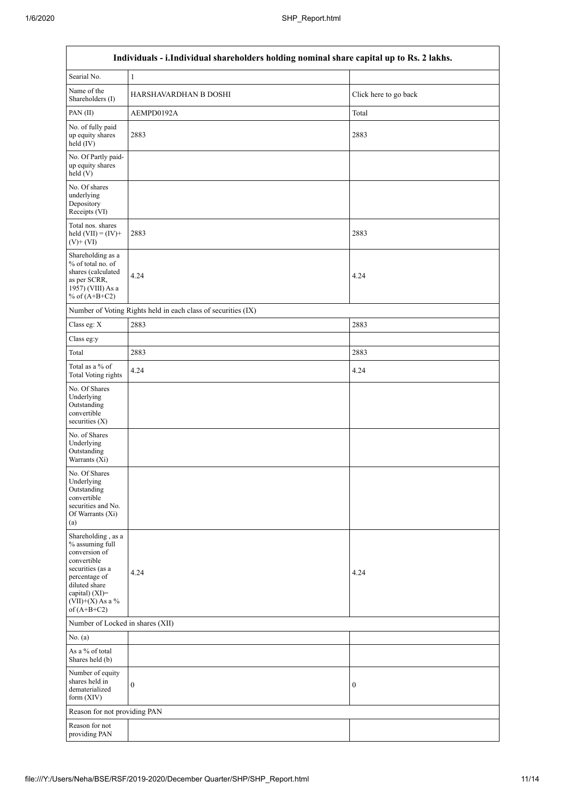$\overline{1}$ 

| Individuals - i.Individual shareholders holding nominal share capital up to Rs. 2 lakhs.                                                                                             |                                                               |                       |  |  |  |  |  |  |
|--------------------------------------------------------------------------------------------------------------------------------------------------------------------------------------|---------------------------------------------------------------|-----------------------|--|--|--|--|--|--|
| Searial No.                                                                                                                                                                          | $\mathbf{1}$                                                  |                       |  |  |  |  |  |  |
| Name of the<br>Shareholders (I)                                                                                                                                                      | HARSHAVARDHAN B DOSHI                                         | Click here to go back |  |  |  |  |  |  |
| PAN(II)                                                                                                                                                                              | AEMPD0192A                                                    | Total                 |  |  |  |  |  |  |
| No. of fully paid<br>up equity shares<br>held $(IV)$                                                                                                                                 | 2883                                                          | 2883                  |  |  |  |  |  |  |
| No. Of Partly paid-<br>up equity shares<br>held(V)                                                                                                                                   |                                                               |                       |  |  |  |  |  |  |
| No. Of shares<br>underlying<br>Depository<br>Receipts (VI)                                                                                                                           |                                                               |                       |  |  |  |  |  |  |
| Total nos. shares<br>held $(VII) = (IV) +$<br>$(V)+(VI)$                                                                                                                             | 2883                                                          | 2883                  |  |  |  |  |  |  |
| Shareholding as a<br>% of total no. of<br>shares (calculated<br>as per SCRR,<br>1957) (VIII) As a<br>% of $(A+B+C2)$                                                                 | 4.24                                                          | 4.24                  |  |  |  |  |  |  |
|                                                                                                                                                                                      | Number of Voting Rights held in each class of securities (IX) |                       |  |  |  |  |  |  |
| Class eg: X                                                                                                                                                                          | 2883                                                          | 2883                  |  |  |  |  |  |  |
| Class eg:y                                                                                                                                                                           |                                                               |                       |  |  |  |  |  |  |
| Total                                                                                                                                                                                | 2883                                                          | 2883                  |  |  |  |  |  |  |
| Total as a % of<br><b>Total Voting rights</b>                                                                                                                                        | 4.24                                                          | 4.24                  |  |  |  |  |  |  |
| No. Of Shares<br>Underlying<br>Outstanding<br>convertible<br>securities $(X)$                                                                                                        |                                                               |                       |  |  |  |  |  |  |
| No. of Shares<br>Underlying<br>Outstanding<br>Warrants (Xi)                                                                                                                          |                                                               |                       |  |  |  |  |  |  |
| No. Of Shares<br>Underlying<br>Outstanding<br>convertible<br>securities and No.<br>Of Warrants (Xi)<br>(a)                                                                           |                                                               |                       |  |  |  |  |  |  |
| Shareholding, as a<br>% assuming full<br>conversion of<br>convertible<br>securities (as a<br>percentage of<br>diluted share<br>capital) (XI)=<br>$(VII)+(X)$ As a %<br>of $(A+B+C2)$ | 4.24                                                          | 4.24                  |  |  |  |  |  |  |
| Number of Locked in shares (XII)                                                                                                                                                     |                                                               |                       |  |  |  |  |  |  |
| No. $(a)$                                                                                                                                                                            |                                                               |                       |  |  |  |  |  |  |
| As a % of total<br>Shares held (b)                                                                                                                                                   |                                                               |                       |  |  |  |  |  |  |
| Number of equity<br>shares held in<br>dematerialized<br>form $(XIV)$                                                                                                                 | $\boldsymbol{0}$                                              | $\boldsymbol{0}$      |  |  |  |  |  |  |
| Reason for not providing PAN                                                                                                                                                         |                                                               |                       |  |  |  |  |  |  |
| Reason for not<br>providing PAN                                                                                                                                                      |                                                               |                       |  |  |  |  |  |  |

٦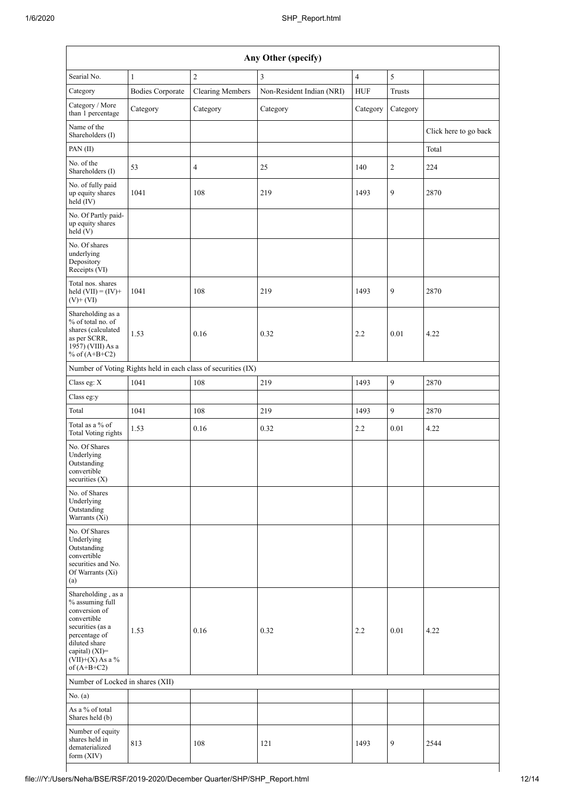|                                                                                                                                                                                         | Any Other (specify)     |                                                               |                           |                |                  |                       |  |  |  |
|-----------------------------------------------------------------------------------------------------------------------------------------------------------------------------------------|-------------------------|---------------------------------------------------------------|---------------------------|----------------|------------------|-----------------------|--|--|--|
| Searial No.                                                                                                                                                                             | $\mathbf{1}$            | $\overline{c}$                                                | 3                         | $\overline{4}$ | $\sqrt{5}$       |                       |  |  |  |
| Category                                                                                                                                                                                | <b>Bodies Corporate</b> | <b>Clearing Members</b>                                       | Non-Resident Indian (NRI) | <b>HUF</b>     | Trusts           |                       |  |  |  |
| Category / More<br>than 1 percentage                                                                                                                                                    | Category                | Category                                                      | Category                  | Category       | Category         |                       |  |  |  |
| Name of the<br>Shareholders (I)                                                                                                                                                         |                         |                                                               |                           |                |                  | Click here to go back |  |  |  |
| PAN(II)                                                                                                                                                                                 |                         |                                                               |                           |                |                  | Total                 |  |  |  |
| No. of the<br>Shareholders (I)                                                                                                                                                          | 53                      | $\overline{4}$                                                | 25                        | 140            | $\overline{c}$   | 224                   |  |  |  |
| No. of fully paid<br>up equity shares<br>held (IV)                                                                                                                                      | 1041                    | 108                                                           | 219                       | 1493           | 9                | 2870                  |  |  |  |
| No. Of Partly paid-<br>up equity shares<br>held(V)                                                                                                                                      |                         |                                                               |                           |                |                  |                       |  |  |  |
| No. Of shares<br>underlying<br>Depository<br>Receipts (VI)                                                                                                                              |                         |                                                               |                           |                |                  |                       |  |  |  |
| Total nos. shares<br>held $(VII) = (IV) +$<br>$(V)+(VI)$                                                                                                                                | 1041                    | 108                                                           | 219                       | 1493           | 9                | 2870                  |  |  |  |
| Shareholding as a<br>% of total no. of<br>shares (calculated<br>as per SCRR,<br>1957) (VIII) As a<br>% of $(A+B+C2)$                                                                    | 1.53                    | 0.16                                                          | 0.32                      | 2.2            | 0.01             | 4.22                  |  |  |  |
|                                                                                                                                                                                         |                         | Number of Voting Rights held in each class of securities (IX) |                           |                |                  |                       |  |  |  |
| Class eg: $X$                                                                                                                                                                           | 1041                    | 108                                                           | 219                       | 1493           | 9                | 2870                  |  |  |  |
| Class eg:y                                                                                                                                                                              |                         |                                                               |                           |                |                  |                       |  |  |  |
| Total                                                                                                                                                                                   | 1041                    | 108                                                           | 219                       | 1493           | 9                | 2870                  |  |  |  |
| Total as a % of<br><b>Total Voting rights</b>                                                                                                                                           | 1.53                    | 0.16                                                          | 0.32                      | 2.2            | 0.01             | 4.22                  |  |  |  |
| No. Of Shares<br>Underlying<br>Outstanding<br>convertible<br>securities $(X)$                                                                                                           |                         |                                                               |                           |                |                  |                       |  |  |  |
| No. of Shares<br>Underlying<br>Outstanding<br>Warrants (Xi)                                                                                                                             |                         |                                                               |                           |                |                  |                       |  |  |  |
| No. Of Shares<br>Underlying<br>Outstanding<br>convertible<br>securities and No.<br>Of Warrants (Xi)<br>(a)                                                                              |                         |                                                               |                           |                |                  |                       |  |  |  |
| Shareholding, as a<br>% assuming full<br>conversion of<br>convertible<br>securities (as a<br>percentage of<br>diluted share<br>capital) $(XI)$ =<br>$(VII)+(X)$ As a %<br>of $(A+B+C2)$ | 1.53                    | 0.16                                                          | 0.32                      | 2.2            | 0.01             | 4.22                  |  |  |  |
| Number of Locked in shares (XII)                                                                                                                                                        |                         |                                                               |                           |                |                  |                       |  |  |  |
| No. (a)                                                                                                                                                                                 |                         |                                                               |                           |                |                  |                       |  |  |  |
| As a % of total<br>Shares held (b)                                                                                                                                                      |                         |                                                               |                           |                |                  |                       |  |  |  |
| Number of equity<br>shares held in<br>dematerialized<br>form (XIV)                                                                                                                      | 813                     | 108                                                           | 121                       | 1493           | $\boldsymbol{9}$ | 2544                  |  |  |  |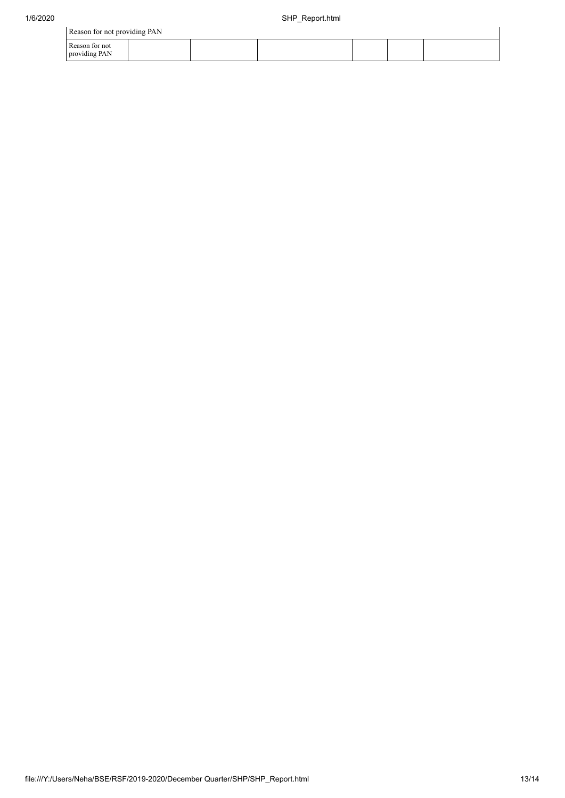| Reason for not providing PAN    |  |  |  |  |  |  |  |
|---------------------------------|--|--|--|--|--|--|--|
| Reason for not<br>providing PAN |  |  |  |  |  |  |  |